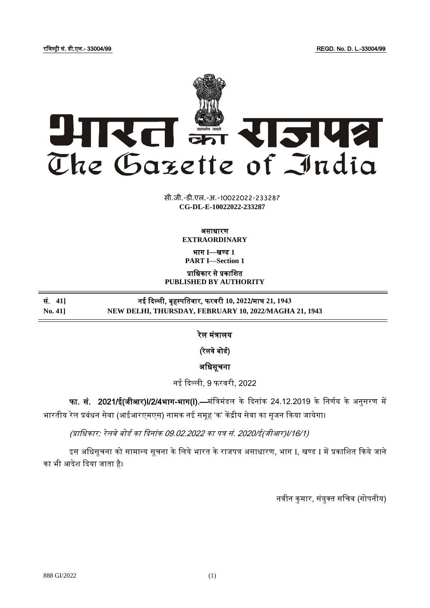रजिस्ट्री सं. डी.एल.- 33004/99 REGD. No. D. L.-33004/99



**xxxGIDHxxx xxxGIDExxx CG-DL-E-10022022-233287**सी.जी.-डी.एल.-अ.-10022022-233287

> असाधारण **EXTRAORDINARY**

भाग **I**—खण् ड **1 PART I—Section 1**

प्राजधकार से प्रकाजित

**PUBLISHED BY AUTHORITY**

सं. **41]** नई दिल्ली, बृहस्ट् पजतवार, फरवरी **10, 2022**/माघ **21, 1943 No. 41] NEW DELHI, THURSDAY, FEBRUARY 10, 2022/MAGHA 21, 1943**

रेल मंत्रालय

(रेलवे बोर्ड)

अजधसूचना

नई दिल्ली, 9 फरवरी, 2022

फा. सं. 2021/ई(जीआर)I/2/4भाग-भाग(I).—मंत्रिमंडल के दिनांक 24.12.2019 के निर्णय के अनुसरण में भारतीय रेल प्रबंधन सेवा (आईआरएमएस) नामक नई समूह 'क' केंद्रीय सेवा का सुजन किया जायेगा।

(प्राजधकार: रेलवे बोडड का दिनांक 09.02.2022 का पत्र सं. 2020/ई(िीआर)I/16/1)

इस अधिसूचना को सामान्य सूचना के लिये भारत के राजपत्र असाधारण, भाग I, खण्ड I में प्रकाशित किये जाने का भी आदेश दिया जाता है।

नवीन कुमार, संयुक्त सचिव (गोपनीय)